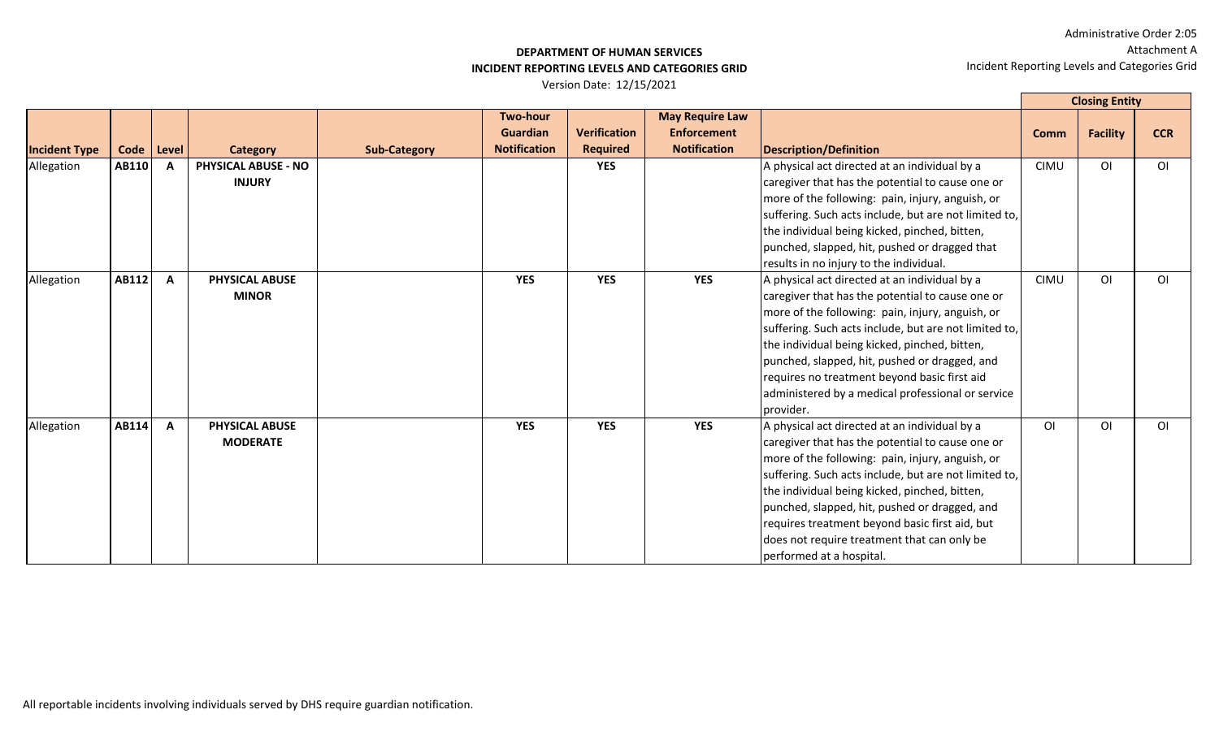#### **DEPARTMENT OF HUMAN SERVICES INCIDENT REPORTING LEVELS AND CATEGORIES GRID**

|                      |       |              |                                             |                     |                                                    |                                        |                                                                     |                                                                                                                                                                                                                                                                                                                                                                                                                                               | <b>Closing Entity</b> |                 |                |
|----------------------|-------|--------------|---------------------------------------------|---------------------|----------------------------------------------------|----------------------------------------|---------------------------------------------------------------------|-----------------------------------------------------------------------------------------------------------------------------------------------------------------------------------------------------------------------------------------------------------------------------------------------------------------------------------------------------------------------------------------------------------------------------------------------|-----------------------|-----------------|----------------|
| <b>Incident Type</b> | Code  | Level        | Category                                    | <b>Sub-Category</b> | Two-hour<br><b>Guardian</b><br><b>Notification</b> | <b>Verification</b><br><b>Required</b> | <b>May Require Law</b><br><b>Enforcement</b><br><b>Notification</b> | Description/Definition                                                                                                                                                                                                                                                                                                                                                                                                                        | <b>Comm</b>           | <b>Facility</b> | <b>CCR</b>     |
| Allegation           | AB110 |              | <b>PHYSICAL ABUSE - NO</b><br><b>INJURY</b> |                     |                                                    | <b>YES</b>                             |                                                                     | A physical act directed at an individual by a<br>caregiver that has the potential to cause one or<br>more of the following: pain, injury, anguish, or<br>suffering. Such acts include, but are not limited to,<br>the individual being kicked, pinched, bitten,<br>punched, slapped, hit, pushed or dragged that<br>results in no injury to the individual.                                                                                   | <b>CIMU</b>           | O <sub>l</sub>  | O <sub>1</sub> |
| Allegation           | AB112 | $\mathbf{A}$ | PHYSICAL ABUSE<br><b>MINOR</b>              |                     | <b>YES</b>                                         | <b>YES</b>                             | <b>YES</b>                                                          | A physical act directed at an individual by a<br>caregiver that has the potential to cause one or<br>more of the following: pain, injury, anguish, or<br>suffering. Such acts include, but are not limited to,<br>the individual being kicked, pinched, bitten,<br>punched, slapped, hit, pushed or dragged, and<br>requires no treatment beyond basic first aid<br>administered by a medical professional or service<br>provider.            | <b>CIMU</b>           | O <sub>1</sub>  | O <sub>1</sub> |
| Allegation           | AB114 | $\mathbf{A}$ | PHYSICAL ABUSE<br><b>MODERATE</b>           |                     | <b>YES</b>                                         | <b>YES</b>                             | <b>YES</b>                                                          | A physical act directed at an individual by a<br>caregiver that has the potential to cause one or<br>more of the following: pain, injury, anguish, or<br>suffering. Such acts include, but are not limited to,<br>the individual being kicked, pinched, bitten,<br>punched, slapped, hit, pushed or dragged, and<br>requires treatment beyond basic first aid, but<br>does not require treatment that can only be<br>performed at a hospital. | O <sub>1</sub>        | O <sub>1</sub>  | O <sub>1</sub> |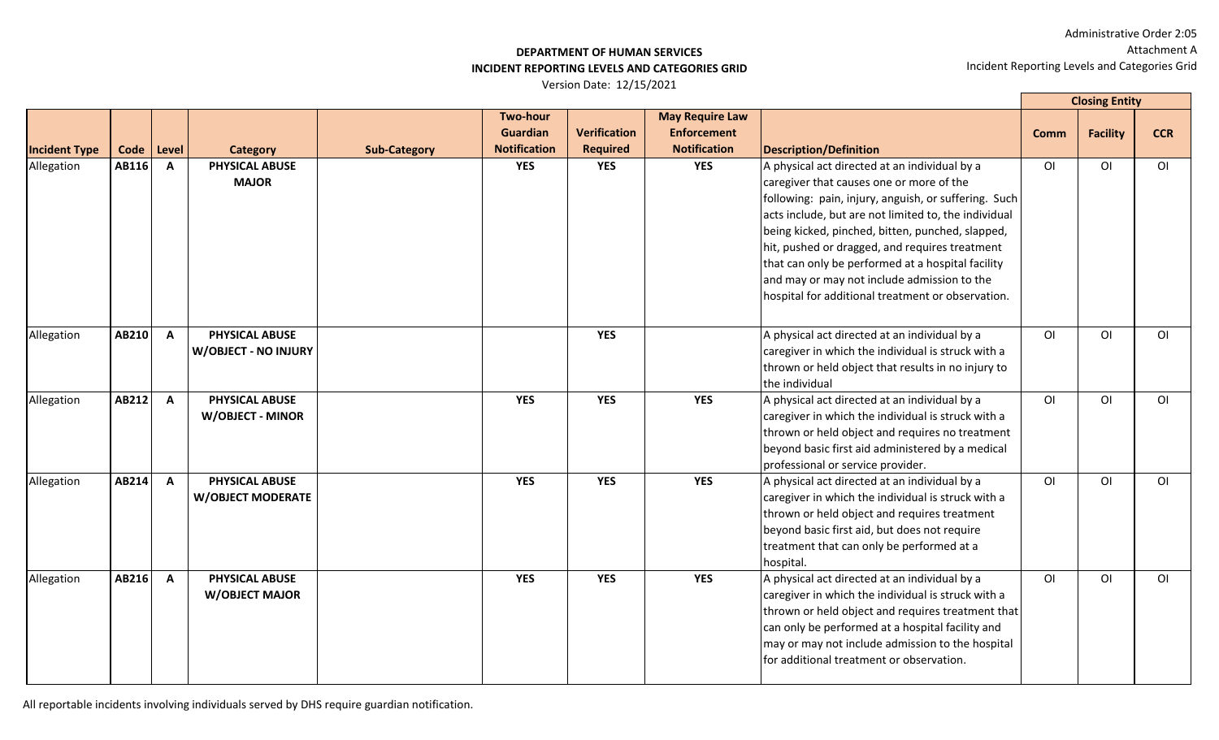## **DEPARTMENT OF HUMAN SERVICES INCIDENT REPORTING LEVELS AND CATEGORIES GRID**

Version Date: 12/15/2021

|                      |       |              |                                                      |                     |                                                           |                                        |                                                                     |                                                                                                                                                                                                                                                                                                                                                                                                                                                                          |                | <b>Closing Entity</b> |                |
|----------------------|-------|--------------|------------------------------------------------------|---------------------|-----------------------------------------------------------|----------------------------------------|---------------------------------------------------------------------|--------------------------------------------------------------------------------------------------------------------------------------------------------------------------------------------------------------------------------------------------------------------------------------------------------------------------------------------------------------------------------------------------------------------------------------------------------------------------|----------------|-----------------------|----------------|
| <b>Incident Type</b> | Code  | Level        | <b>Category</b>                                      | <b>Sub-Category</b> | <b>Two-hour</b><br><b>Guardian</b><br><b>Notification</b> | <b>Verification</b><br><b>Required</b> | <b>May Require Law</b><br><b>Enforcement</b><br><b>Notification</b> | <b>Description/Definition</b>                                                                                                                                                                                                                                                                                                                                                                                                                                            | Comm           | <b>Facility</b>       | <b>CCR</b>     |
| Allegation           | AB116 | $\mathbf{A}$ | PHYSICAL ABUSE<br><b>MAJOR</b>                       |                     | <b>YES</b>                                                | <b>YES</b>                             | <b>YES</b>                                                          | A physical act directed at an individual by a<br>caregiver that causes one or more of the<br>following: pain, injury, anguish, or suffering. Such<br>acts include, but are not limited to, the individual<br>being kicked, pinched, bitten, punched, slapped,<br>hit, pushed or dragged, and requires treatment<br>that can only be performed at a hospital facility<br>and may or may not include admission to the<br>hospital for additional treatment or observation. | ΟI             | <b>OI</b>             | O <sub>1</sub> |
| Allegation           | AB210 | $\mathsf{A}$ | <b>PHYSICAL ABUSE</b><br><b>W/OBJECT - NO INJURY</b> |                     |                                                           | <b>YES</b>                             |                                                                     | A physical act directed at an individual by a<br>caregiver in which the individual is struck with a<br>thrown or held object that results in no injury to<br>the individual                                                                                                                                                                                                                                                                                              | O <sub>1</sub> | O <sub>1</sub>        | O <sub>1</sub> |
| Allegation           | AB212 | $\mathbf{A}$ | <b>PHYSICAL ABUSE</b><br><b>W/OBJECT - MINOR</b>     |                     | <b>YES</b>                                                | <b>YES</b>                             | <b>YES</b>                                                          | A physical act directed at an individual by a<br>caregiver in which the individual is struck with a<br>thrown or held object and requires no treatment<br>beyond basic first aid administered by a medical<br>professional or service provider.                                                                                                                                                                                                                          | O <sub>l</sub> | O <sub>1</sub>        | O <sub>1</sub> |
| Allegation           | AB214 | $\mathbf{A}$ | PHYSICAL ABUSE<br><b>W/OBJECT MODERATE</b>           |                     | <b>YES</b>                                                | <b>YES</b>                             | <b>YES</b>                                                          | A physical act directed at an individual by a<br>caregiver in which the individual is struck with a<br>thrown or held object and requires treatment<br>beyond basic first aid, but does not require<br>treatment that can only be performed at a<br>hospital.                                                                                                                                                                                                            | O <sub>l</sub> | 0I                    | O <sub>1</sub> |
| Allegation           | AB216 | $\mathbf{A}$ | <b>PHYSICAL ABUSE</b><br><b>W/OBJECT MAJOR</b>       |                     | <b>YES</b>                                                | <b>YES</b>                             | <b>YES</b>                                                          | A physical act directed at an individual by a<br>caregiver in which the individual is struck with a<br>thrown or held object and requires treatment that<br>can only be performed at a hospital facility and<br>may or may not include admission to the hospital<br>for additional treatment or observation.                                                                                                                                                             | $\overline{O}$ | O <sub>1</sub>        | O <sub>1</sub> |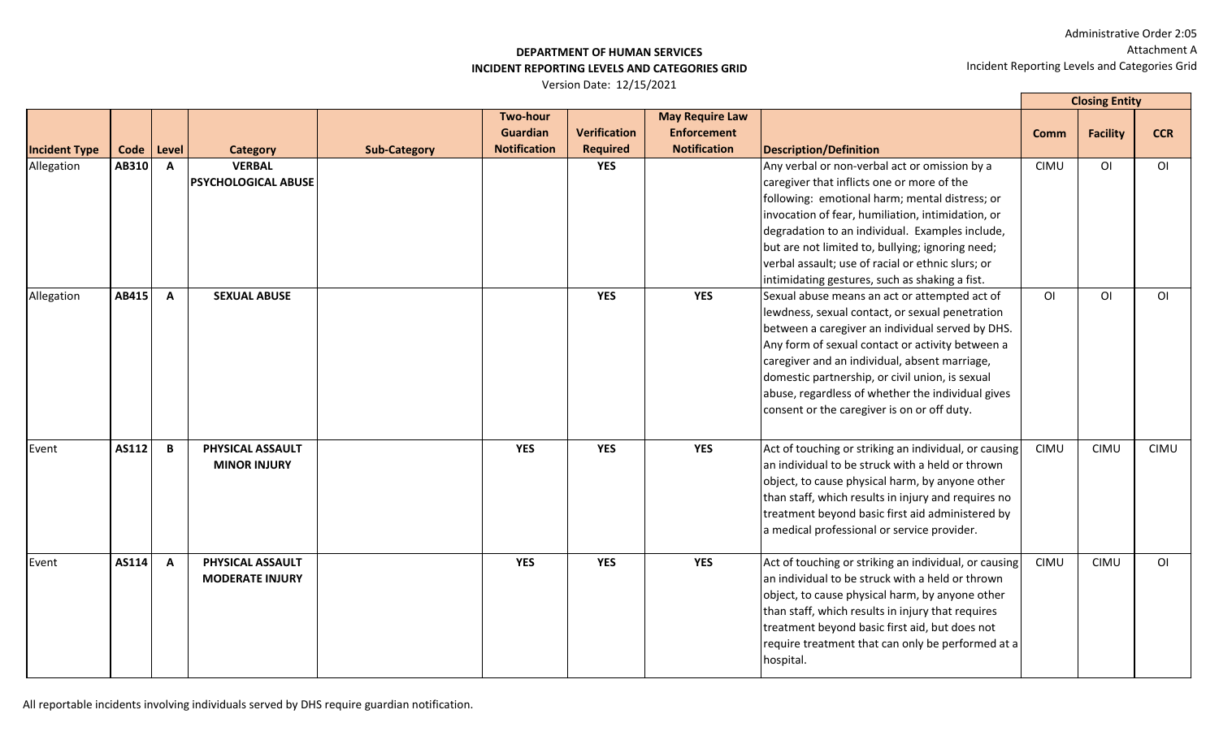#### **DEPARTMENT OF HUMAN SERVICES INCIDENT REPORTING LEVELS AND CATEGORIES GRID**

Version Date: 12/15/2021

|                      |       |              |                                            |                     |                                                           |                                        |                                                                     |                                                                                                                                                                                                                                                                                                                                                                                                                  |                | <b>Closing Entity</b> |                |
|----------------------|-------|--------------|--------------------------------------------|---------------------|-----------------------------------------------------------|----------------------------------------|---------------------------------------------------------------------|------------------------------------------------------------------------------------------------------------------------------------------------------------------------------------------------------------------------------------------------------------------------------------------------------------------------------------------------------------------------------------------------------------------|----------------|-----------------------|----------------|
| <b>Incident Type</b> | Code  | Level        | <b>Category</b>                            | <b>Sub-Category</b> | <b>Two-hour</b><br><b>Guardian</b><br><b>Notification</b> | <b>Verification</b><br><b>Required</b> | <b>May Require Law</b><br><b>Enforcement</b><br><b>Notification</b> | <b>Description/Definition</b>                                                                                                                                                                                                                                                                                                                                                                                    | <b>Comm</b>    | <b>Facility</b>       | <b>CCR</b>     |
| Allegation           | AB310 | $\mathbf{A}$ | <b>VERBAL</b><br>PSYCHOLOGICAL ABUSE       |                     |                                                           | <b>YES</b>                             |                                                                     | Any verbal or non-verbal act or omission by a<br>caregiver that inflicts one or more of the<br>following: emotional harm; mental distress; or<br>invocation of fear, humiliation, intimidation, or<br>degradation to an individual. Examples include,<br>but are not limited to, bullying; ignoring need;<br>verbal assault; use of racial or ethnic slurs; or<br>intimidating gestures, such as shaking a fist. | <b>CIMU</b>    | O <sub>l</sub>        | O <sub>l</sub> |
| Allegation           | AB415 | $\mathbf{A}$ | <b>SEXUAL ABUSE</b>                        |                     |                                                           | <b>YES</b>                             | <b>YES</b>                                                          | Sexual abuse means an act or attempted act of<br>lewdness, sexual contact, or sexual penetration<br>between a caregiver an individual served by DHS.<br>Any form of sexual contact or activity between a<br>caregiver and an individual, absent marriage,<br>domestic partnership, or civil union, is sexual<br>abuse, regardless of whether the individual gives<br>consent or the caregiver is on or off duty. | O <sub>l</sub> | O <sub>1</sub>        | O <sub>1</sub> |
| Event                | AS112 | B            | PHYSICAL ASSAULT<br><b>MINOR INJURY</b>    |                     | <b>YES</b>                                                | <b>YES</b>                             | <b>YES</b>                                                          | Act of touching or striking an individual, or causing<br>an individual to be struck with a held or thrown<br>object, to cause physical harm, by anyone other<br>than staff, which results in injury and requires no<br>treatment beyond basic first aid administered by<br>a medical professional or service provider.                                                                                           | <b>CIMU</b>    | <b>CIMU</b>           | <b>CIMU</b>    |
| Event                | AS114 | $\mathbf{A}$ | PHYSICAL ASSAULT<br><b>MODERATE INJURY</b> |                     | <b>YES</b>                                                | <b>YES</b>                             | <b>YES</b>                                                          | Act of touching or striking an individual, or causing<br>an individual to be struck with a held or thrown<br>object, to cause physical harm, by anyone other<br>than staff, which results in injury that requires<br>treatment beyond basic first aid, but does not<br>require treatment that can only be performed at a<br>hospital.                                                                            | <b>CIMU</b>    | <b>CIMU</b>           | O <sub>1</sub> |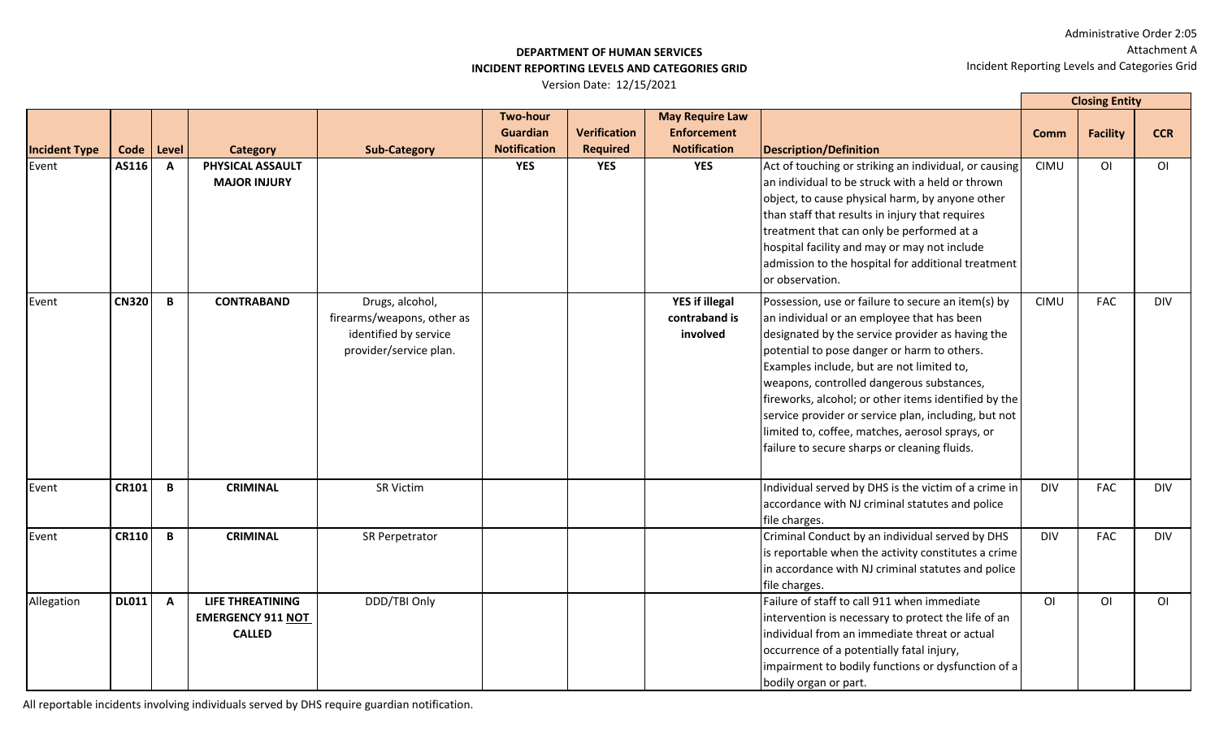## **DEPARTMENT OF HUMAN SERVICES INCIDENT REPORTING LEVELS AND CATEGORIES GRID**

Version Date: 12/15/2021

|                      |              |              |                                                                      |                                                                                                  |                                                           |                                        |                                                                     |                                                                                                                                                                                                                                                                                                                                                                                                                                                                                                                  |                | <b>Closing Entity</b> |                |
|----------------------|--------------|--------------|----------------------------------------------------------------------|--------------------------------------------------------------------------------------------------|-----------------------------------------------------------|----------------------------------------|---------------------------------------------------------------------|------------------------------------------------------------------------------------------------------------------------------------------------------------------------------------------------------------------------------------------------------------------------------------------------------------------------------------------------------------------------------------------------------------------------------------------------------------------------------------------------------------------|----------------|-----------------------|----------------|
| <b>Incident Type</b> | Code   Level |              | <b>Category</b>                                                      | <b>Sub-Category</b>                                                                              | <b>Two-hour</b><br><b>Guardian</b><br><b>Notification</b> | <b>Verification</b><br><b>Required</b> | <b>May Require Law</b><br><b>Enforcement</b><br><b>Notification</b> | <b>Description/Definition</b>                                                                                                                                                                                                                                                                                                                                                                                                                                                                                    | <b>Comm</b>    | <b>Facility</b>       | <b>CCR</b>     |
| Event                | AS116        | $\mathbf{A}$ | PHYSICAL ASSAULT<br><b>MAJOR INJURY</b>                              |                                                                                                  | <b>YES</b>                                                | <b>YES</b>                             | <b>YES</b>                                                          | Act of touching or striking an individual, or causing<br>an individual to be struck with a held or thrown<br>object, to cause physical harm, by anyone other<br>than staff that results in injury that requires<br>treatment that can only be performed at a<br>hospital facility and may or may not include<br>admission to the hospital for additional treatment<br>or observation.                                                                                                                            | <b>CIMU</b>    | O <sub>l</sub>        | O <sub>1</sub> |
| Event                | <b>CN320</b> | $\mathbf B$  | <b>CONTRABAND</b>                                                    | Drugs, alcohol,<br>firearms/weapons, other as<br>identified by service<br>provider/service plan. |                                                           |                                        | <b>YES if illegal</b><br>contraband is<br>involved                  | Possession, use or failure to secure an item(s) by<br>an individual or an employee that has been<br>designated by the service provider as having the<br>potential to pose danger or harm to others.<br>Examples include, but are not limited to,<br>weapons, controlled dangerous substances,<br>fireworks, alcohol; or other items identified by the<br>service provider or service plan, including, but not<br>limited to, coffee, matches, aerosol sprays, or<br>failure to secure sharps or cleaning fluids. | <b>CIMU</b>    | <b>FAC</b>            | <b>DIV</b>     |
| Event                | <b>CR101</b> | B            | <b>CRIMINAL</b>                                                      | <b>SR Victim</b>                                                                                 |                                                           |                                        |                                                                     | Individual served by DHS is the victim of a crime in<br>accordance with NJ criminal statutes and police<br>file charges.                                                                                                                                                                                                                                                                                                                                                                                         | <b>DIV</b>     | <b>FAC</b>            | <b>DIV</b>     |
| Event                | <b>CR110</b> | B            | <b>CRIMINAL</b>                                                      | SR Perpetrator                                                                                   |                                                           |                                        |                                                                     | Criminal Conduct by an individual served by DHS<br>is reportable when the activity constitutes a crime<br>in accordance with NJ criminal statutes and police<br>file charges.                                                                                                                                                                                                                                                                                                                                    | <b>DIV</b>     | <b>FAC</b>            | <b>DIV</b>     |
| Allegation           | $DLO11$ A    |              | <b>LIFE THREATINING</b><br><b>EMERGENCY 911 NOT</b><br><b>CALLED</b> | DDD/TBI Only                                                                                     |                                                           |                                        |                                                                     | Failure of staff to call 911 when immediate<br>intervention is necessary to protect the life of an<br>Individual from an immediate threat or actual<br>occurrence of a potentially fatal injury,<br>impairment to bodily functions or dysfunction of a<br>bodily organ or part.                                                                                                                                                                                                                                  | O <sub>1</sub> | O <sub>1</sub>        | O <sub>1</sub> |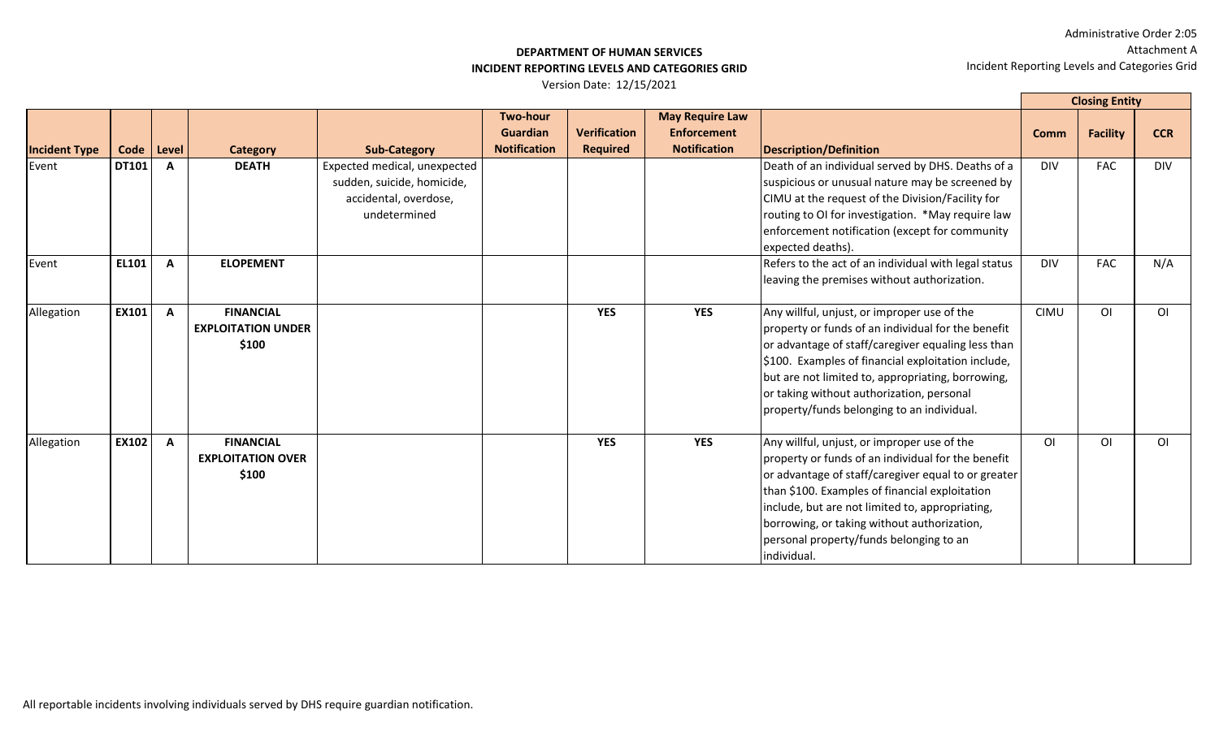#### **DEPARTMENT OF HUMAN SERVICES INCIDENT REPORTING LEVELS AND CATEGORIES GRID**

|                      |              |              |                                                        |                                                                                                     |                                                           |                                        |                                                                     |                                                                                                                                                                                                                                                                                                                                                                        | <b>Closing Entity</b> |                 |                |
|----------------------|--------------|--------------|--------------------------------------------------------|-----------------------------------------------------------------------------------------------------|-----------------------------------------------------------|----------------------------------------|---------------------------------------------------------------------|------------------------------------------------------------------------------------------------------------------------------------------------------------------------------------------------------------------------------------------------------------------------------------------------------------------------------------------------------------------------|-----------------------|-----------------|----------------|
| <b>Incident Type</b> | Code   Level |              | Category                                               | <b>Sub-Category</b>                                                                                 | <b>Two-hour</b><br><b>Guardian</b><br><b>Notification</b> | <b>Verification</b><br><b>Required</b> | <b>May Require Law</b><br><b>Enforcement</b><br><b>Notification</b> | <b>Description/Definition</b>                                                                                                                                                                                                                                                                                                                                          | <b>Comm</b>           | <b>Facility</b> | <b>CCR</b>     |
| Event                | <b>DT101</b> | A            | <b>DEATH</b>                                           | Expected medical, unexpected<br>sudden, suicide, homicide,<br>accidental, overdose,<br>undetermined |                                                           |                                        |                                                                     | Death of an individual served by DHS. Deaths of a<br>suspicious or unusual nature may be screened by<br>CIMU at the request of the Division/Facility for<br>routing to OI for investigation. *May require law<br>enforcement notification (except for community<br>expected deaths).                                                                                   | <b>DIV</b>            | <b>FAC</b>      | <b>DIV</b>     |
| Event                | <b>EL101</b> | A            | <b>ELOPEMENT</b>                                       |                                                                                                     |                                                           |                                        |                                                                     | Refers to the act of an individual with legal status<br>leaving the premises without authorization.                                                                                                                                                                                                                                                                    | <b>DIV</b>            | <b>FAC</b>      | N/A            |
| Allegation           | EX101        | $\mathbf{A}$ | <b>FINANCIAL</b><br><b>EXPLOITATION UNDER</b><br>\$100 |                                                                                                     |                                                           | <b>YES</b>                             | <b>YES</b>                                                          | Any willful, unjust, or improper use of the<br>property or funds of an individual for the benefit<br>or advantage of staff/caregiver equaling less than<br>\$100. Examples of financial exploitation include,<br>but are not limited to, appropriating, borrowing,<br>or taking without authorization, personal<br>property/funds belonging to an individual.          | <b>CIMU</b>           | O <sub>l</sub>  | O <sub>1</sub> |
| Allegation           | <b>EX102</b> | $\mathbf{A}$ | <b>FINANCIAL</b><br><b>EXPLOITATION OVER</b><br>\$100  |                                                                                                     |                                                           | <b>YES</b>                             | <b>YES</b>                                                          | Any willful, unjust, or improper use of the<br>property or funds of an individual for the benefit<br>or advantage of staff/caregiver equal to or greater<br>than \$100. Examples of financial exploitation<br>include, but are not limited to, appropriating,<br>borrowing, or taking without authorization,<br>personal property/funds belonging to an<br>individual. | O <sub>l</sub>        | 0I              | O <sub>1</sub> |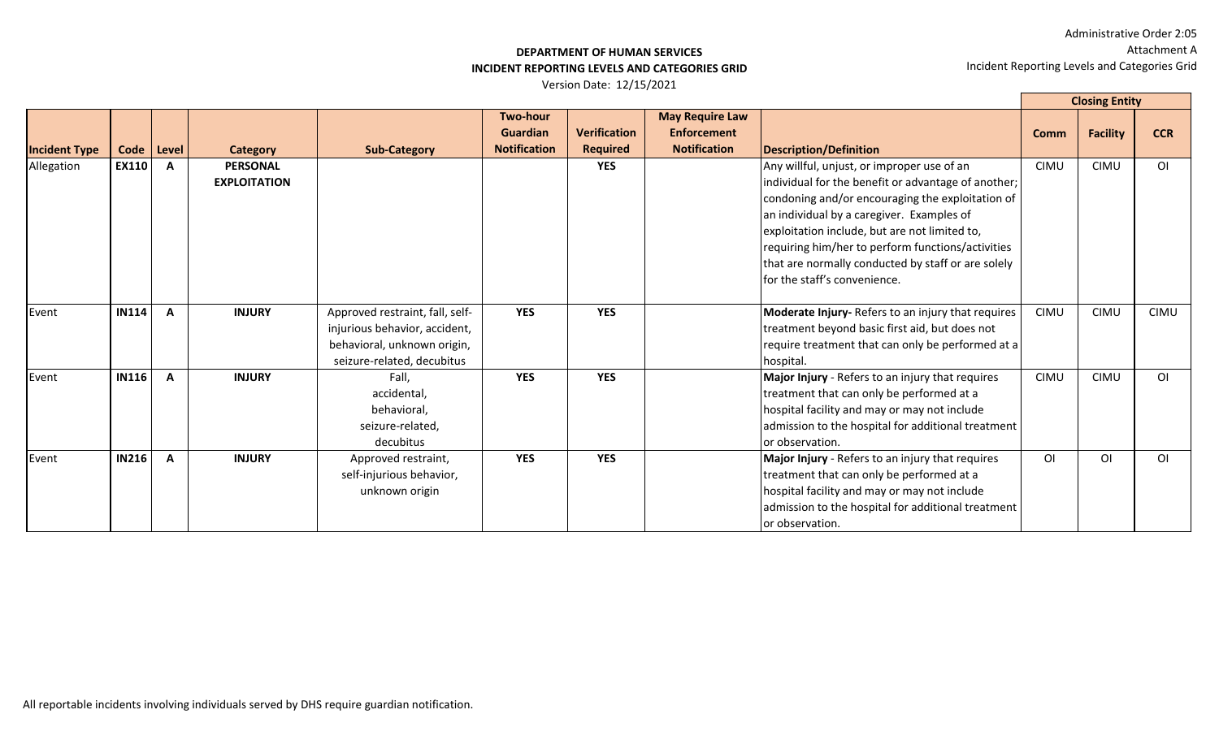## **DEPARTMENT OF HUMAN SERVICES INCIDENT REPORTING LEVELS AND CATEGORIES GRID**

|                      |              |              |                     |                                 |                     |                     |                        |                                                     |             | <b>Closing Entity</b> |                |
|----------------------|--------------|--------------|---------------------|---------------------------------|---------------------|---------------------|------------------------|-----------------------------------------------------|-------------|-----------------------|----------------|
|                      |              |              |                     |                                 | <b>Two-hour</b>     |                     | <b>May Require Law</b> |                                                     |             |                       |                |
|                      |              |              |                     |                                 | <b>Guardian</b>     | <b>Verification</b> | <b>Enforcement</b>     |                                                     | <b>Comm</b> | <b>Facility</b>       | <b>CCR</b>     |
| <b>Incident Type</b> | Code         | Level        | <b>Category</b>     | <b>Sub-Category</b>             | <b>Notification</b> | <b>Required</b>     | <b>Notification</b>    | <b>Description/Definition</b>                       |             |                       |                |
| Allegation           | <b>EX110</b> | $\mathbf{A}$ | <b>PERSONAL</b>     |                                 |                     | <b>YES</b>          |                        | Any willful, unjust, or improper use of an          | <b>CIMU</b> | <b>CIMU</b>           | O <sub>1</sub> |
|                      |              |              | <b>EXPLOITATION</b> |                                 |                     |                     |                        | individual for the benefit or advantage of another; |             |                       |                |
|                      |              |              |                     |                                 |                     |                     |                        | condoning and/or encouraging the exploitation of    |             |                       |                |
|                      |              |              |                     |                                 |                     |                     |                        | an individual by a caregiver. Examples of           |             |                       |                |
|                      |              |              |                     |                                 |                     |                     |                        | exploitation include, but are not limited to,       |             |                       |                |
|                      |              |              |                     |                                 |                     |                     |                        | requiring him/her to perform functions/activities   |             |                       |                |
|                      |              |              |                     |                                 |                     |                     |                        | that are normally conducted by staff or are solely  |             |                       |                |
|                      |              |              |                     |                                 |                     |                     |                        | for the staff's convenience.                        |             |                       |                |
| Event                | <b>IN114</b> | $\mathbf{A}$ | <b>INJURY</b>       | Approved restraint, fall, self- | <b>YES</b>          | <b>YES</b>          |                        | Moderate Injury-Refers to an injury that requires   | <b>CIMU</b> | <b>CIMU</b>           | <b>CIMU</b>    |
|                      |              |              |                     | injurious behavior, accident,   |                     |                     |                        | treatment beyond basic first aid, but does not      |             |                       |                |
|                      |              |              |                     | behavioral, unknown origin,     |                     |                     |                        | require treatment that can only be performed at a   |             |                       |                |
|                      |              |              |                     | seizure-related, decubitus      |                     |                     |                        | hospital.                                           |             |                       |                |
| Event                | <b>IN116</b> | $\mathbf{A}$ | <b>INJURY</b>       | Fall,                           | <b>YES</b>          | <b>YES</b>          |                        | Major Injury - Refers to an injury that requires    | <b>CIMU</b> | <b>CIMU</b>           | O <sub>1</sub> |
|                      |              |              |                     | accidental,                     |                     |                     |                        | treatment that can only be performed at a           |             |                       |                |
|                      |              |              |                     | behavioral,                     |                     |                     |                        | hospital facility and may or may not include        |             |                       |                |
|                      |              |              |                     | seizure-related,                |                     |                     |                        | admission to the hospital for additional treatment  |             |                       |                |
|                      |              |              |                     | decubitus                       |                     |                     |                        | or observation.                                     |             |                       |                |
| Event                | <b>IN216</b> | $\mathbf{A}$ | <b>INJURY</b>       | Approved restraint,             | <b>YES</b>          | <b>YES</b>          |                        | Major Injury - Refers to an injury that requires    | ΟI          | ΟI                    | O <sub>1</sub> |
|                      |              |              |                     | self-injurious behavior,        |                     |                     |                        | treatment that can only be performed at a           |             |                       |                |
|                      |              |              |                     | unknown origin                  |                     |                     |                        | hospital facility and may or may not include        |             |                       |                |
|                      |              |              |                     |                                 |                     |                     |                        | admission to the hospital for additional treatment  |             |                       |                |
|                      |              |              |                     |                                 |                     |                     |                        | or observation.                                     |             |                       |                |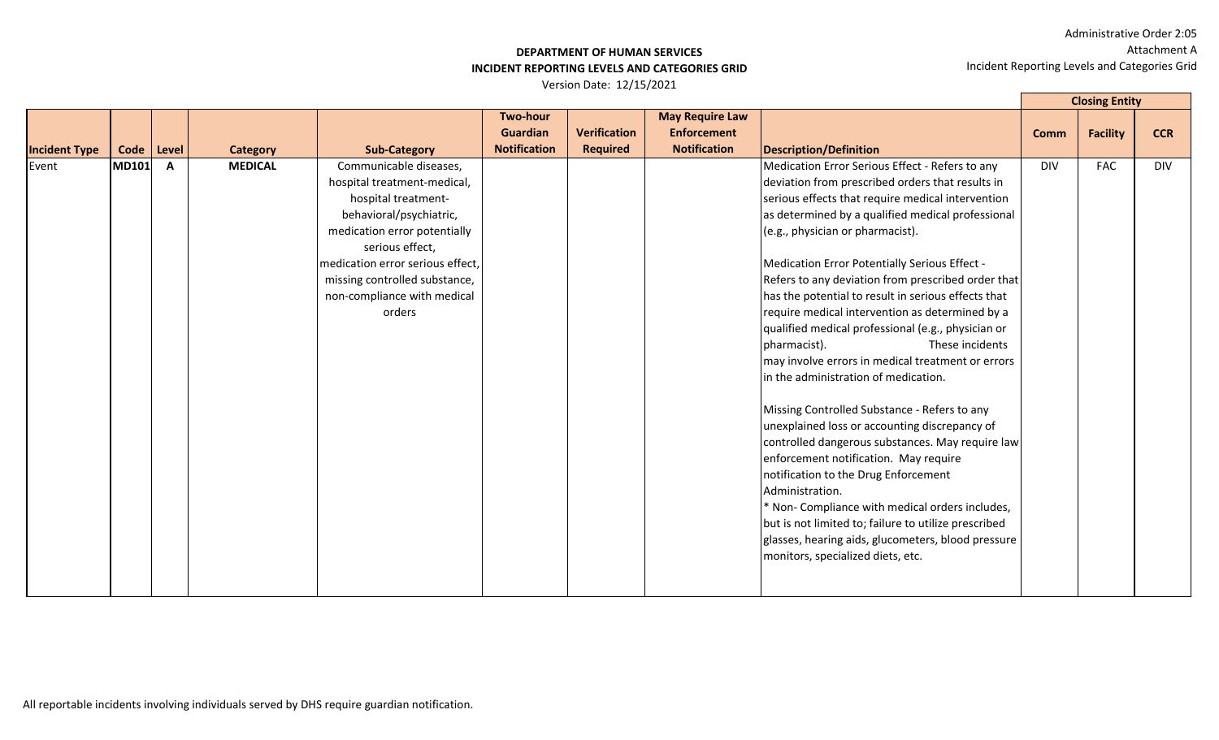# **DEPARTMENT OF HUMAN SERVICES INCIDENT REPORTING LEVELS AND CATEGORIES GRID**

|                      |              |              |                 |                                                                                                                                                                                                                                                                          |                                                    |                                        |                                                                     |                                                                                                                                                                                                                                                                                                                                                                                                                                                                                                                                                                                                                                                                                                                                                                                                                                                                                                                                                                                                                                                                                                                         | <b>Closing Entity</b> |                 |            |
|----------------------|--------------|--------------|-----------------|--------------------------------------------------------------------------------------------------------------------------------------------------------------------------------------------------------------------------------------------------------------------------|----------------------------------------------------|----------------------------------------|---------------------------------------------------------------------|-------------------------------------------------------------------------------------------------------------------------------------------------------------------------------------------------------------------------------------------------------------------------------------------------------------------------------------------------------------------------------------------------------------------------------------------------------------------------------------------------------------------------------------------------------------------------------------------------------------------------------------------------------------------------------------------------------------------------------------------------------------------------------------------------------------------------------------------------------------------------------------------------------------------------------------------------------------------------------------------------------------------------------------------------------------------------------------------------------------------------|-----------------------|-----------------|------------|
| <b>Incident Type</b> | Code   Level |              | <b>Category</b> | <b>Sub-Category</b>                                                                                                                                                                                                                                                      | <b>Two-hour</b><br>Guardian<br><b>Notification</b> | <b>Verification</b><br><b>Required</b> | <b>May Require Law</b><br><b>Enforcement</b><br><b>Notification</b> | <b>Description/Definition</b>                                                                                                                                                                                                                                                                                                                                                                                                                                                                                                                                                                                                                                                                                                                                                                                                                                                                                                                                                                                                                                                                                           | <b>Comm</b>           | <b>Facility</b> | <b>CCR</b> |
| Event                | MD101        | $\mathbf{A}$ | <b>MEDICAL</b>  | Communicable diseases,<br>hospital treatment-medical,<br>hospital treatment-<br>behavioral/psychiatric,<br>medication error potentially<br>serious effect,<br>medication error serious effect,<br>missing controlled substance,<br>non-compliance with medical<br>orders |                                                    |                                        |                                                                     | Medication Error Serious Effect - Refers to any<br>deviation from prescribed orders that results in<br>serious effects that require medical intervention<br>as determined by a qualified medical professional<br>(e.g., physician or pharmacist).<br>Medication Error Potentially Serious Effect -<br>Refers to any deviation from prescribed order that<br>has the potential to result in serious effects that<br>require medical intervention as determined by a<br>qualified medical professional (e.g., physician or<br>pharmacist).<br>These incidents<br>may involve errors in medical treatment or errors<br>in the administration of medication.<br>Missing Controlled Substance - Refers to any<br>unexplained loss or accounting discrepancy of<br>controlled dangerous substances. May require law<br>enforcement notification. May require<br>notification to the Drug Enforcement<br>Administration.<br>* Non- Compliance with medical orders includes,<br>but is not limited to; failure to utilize prescribed<br>glasses, hearing aids, glucometers, blood pressure<br>monitors, specialized diets, etc. | <b>DIV</b>            | <b>FAC</b>      | <b>DIV</b> |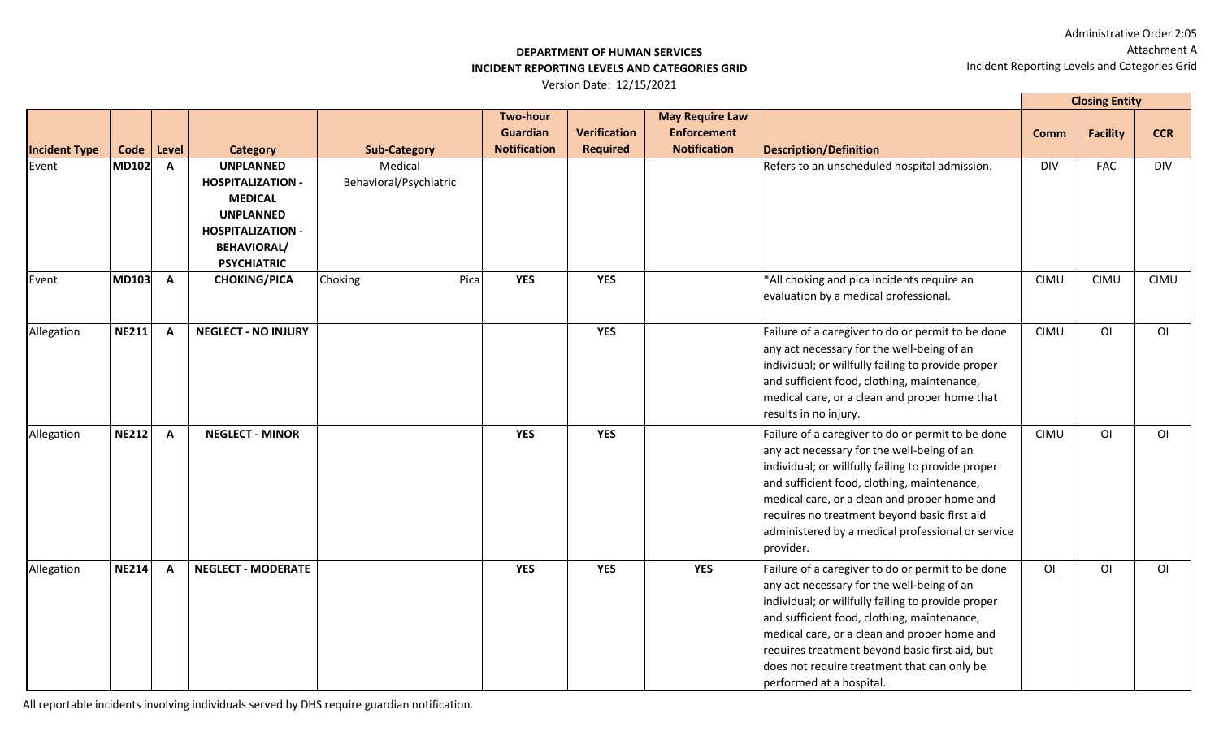#### **DEPARTMENT OF HUMAN SERVICES INCIDENT REPORTING LEVELS AND CATEGORIES GRID**

Version Date: 12/15/2021

|                      |              |              |                                                                                                                                                            |                                   |                                                    |                                        |                                                                     |                                                                                                                                                                                                                                                                                                                                                                                   |                | <b>Closing Entity</b> |                |
|----------------------|--------------|--------------|------------------------------------------------------------------------------------------------------------------------------------------------------------|-----------------------------------|----------------------------------------------------|----------------------------------------|---------------------------------------------------------------------|-----------------------------------------------------------------------------------------------------------------------------------------------------------------------------------------------------------------------------------------------------------------------------------------------------------------------------------------------------------------------------------|----------------|-----------------------|----------------|
| <b>Incident Type</b> | Code         | Level        | <b>Category</b>                                                                                                                                            | <b>Sub-Category</b>               | <b>Two-hour</b><br>Guardian<br><b>Notification</b> | <b>Verification</b><br><b>Required</b> | <b>May Require Law</b><br><b>Enforcement</b><br><b>Notification</b> | Description/Definition                                                                                                                                                                                                                                                                                                                                                            | <b>Comm</b>    | <b>Facility</b>       | <b>CCR</b>     |
| Event                | <b>MD102</b> | $\mathbf{A}$ | <b>UNPLANNED</b><br><b>HOSPITALIZATION -</b><br><b>MEDICAL</b><br><b>UNPLANNED</b><br><b>HOSPITALIZATION -</b><br><b>BEHAVIORAL/</b><br><b>PSYCHIATRIC</b> | Medical<br>Behavioral/Psychiatric |                                                    |                                        |                                                                     | Refers to an unscheduled hospital admission.                                                                                                                                                                                                                                                                                                                                      | <b>DIV</b>     | <b>FAC</b>            | <b>DIV</b>     |
| Event                | <b>MD103</b> | A            | <b>CHOKING/PICA</b>                                                                                                                                        | Choking<br>Pica                   | <b>YES</b>                                         | <b>YES</b>                             |                                                                     | *All choking and pica incidents require an<br>evaluation by a medical professional.                                                                                                                                                                                                                                                                                               | <b>CIMU</b>    | <b>CIMU</b>           | <b>CIMU</b>    |
| Allegation           | <b>NE211</b> | $\mathbf{A}$ | <b>NEGLECT - NO INJURY</b>                                                                                                                                 |                                   |                                                    | <b>YES</b>                             |                                                                     | Failure of a caregiver to do or permit to be done<br>any act necessary for the well-being of an<br>individual; or willfully failing to provide proper<br>and sufficient food, clothing, maintenance,<br>medical care, or a clean and proper home that<br>results in no injury.                                                                                                    | <b>CIMU</b>    | O <sub>1</sub>        | O <sub>1</sub> |
| Allegation           | <b>NE212</b> | $\mathbf{A}$ | <b>NEGLECT - MINOR</b>                                                                                                                                     |                                   | <b>YES</b>                                         | <b>YES</b>                             |                                                                     | Failure of a caregiver to do or permit to be done<br>any act necessary for the well-being of an<br>individual; or willfully failing to provide proper<br>and sufficient food, clothing, maintenance,<br>medical care, or a clean and proper home and<br>requires no treatment beyond basic first aid<br>administered by a medical professional or service<br>provider.            | <b>CIMU</b>    | $\overline{O}$        | O <sub>1</sub> |
| Allegation           | <b>NE214</b> | $\mathbf{A}$ | <b>NEGLECT - MODERATE</b>                                                                                                                                  |                                   | <b>YES</b>                                         | <b>YES</b>                             | <b>YES</b>                                                          | Failure of a caregiver to do or permit to be done<br>any act necessary for the well-being of an<br>individual; or willfully failing to provide proper<br>and sufficient food, clothing, maintenance,<br>medical care, or a clean and proper home and<br>requires treatment beyond basic first aid, but<br>does not require treatment that can only be<br>performed at a hospital. | O <sub>1</sub> | O <sub>l</sub>        | O <sub>1</sub> |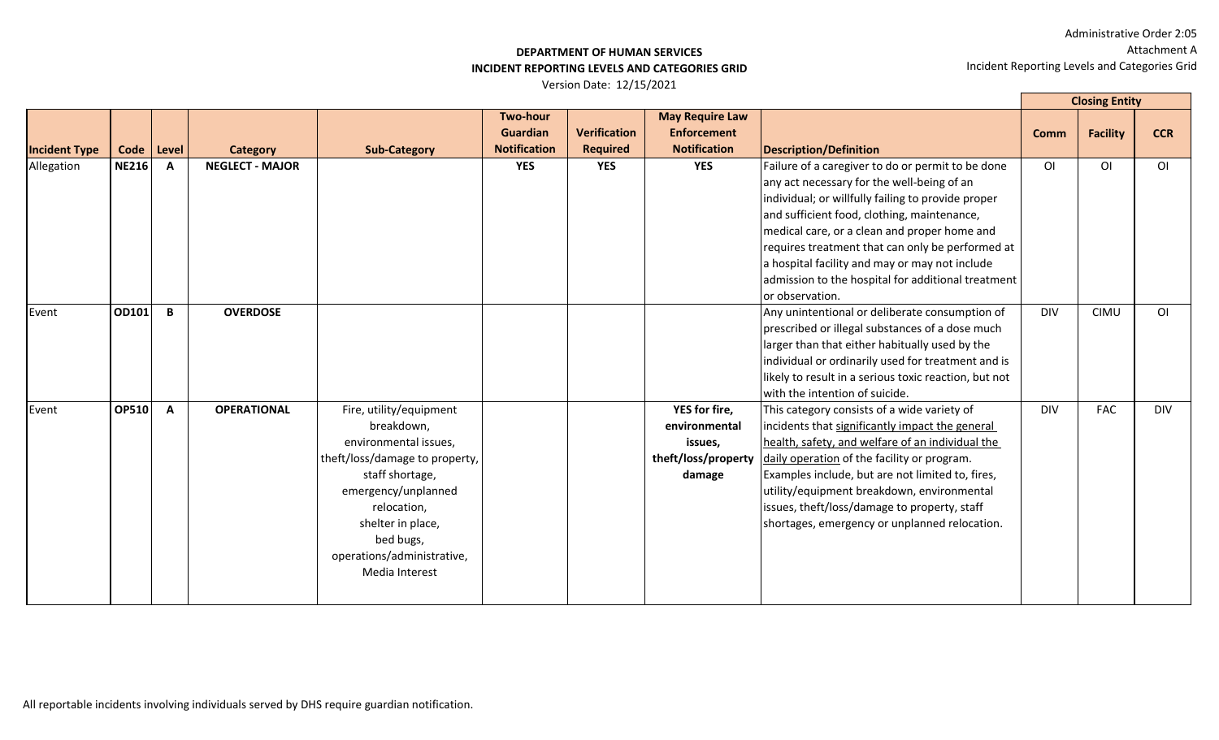#### **DEPARTMENT OF HUMAN SERVICES INCIDENT REPORTING LEVELS AND CATEGORIES GRID**

|                      |              |              |                        |                                                                                                                                                                                                                                             |                                                           |                                        |                                                                                   |                                                                                                                                                                                                                                                                                                                                                                                                                                     |                | <b>Closing Entity</b> |                |
|----------------------|--------------|--------------|------------------------|---------------------------------------------------------------------------------------------------------------------------------------------------------------------------------------------------------------------------------------------|-----------------------------------------------------------|----------------------------------------|-----------------------------------------------------------------------------------|-------------------------------------------------------------------------------------------------------------------------------------------------------------------------------------------------------------------------------------------------------------------------------------------------------------------------------------------------------------------------------------------------------------------------------------|----------------|-----------------------|----------------|
| <b>Incident Type</b> | Code         | Level        | <b>Category</b>        | <b>Sub-Category</b>                                                                                                                                                                                                                         | <b>Two-hour</b><br><b>Guardian</b><br><b>Notification</b> | <b>Verification</b><br><b>Required</b> | <b>May Require Law</b><br><b>Enforcement</b><br><b>Notification</b>               | <b>Description/Definition</b>                                                                                                                                                                                                                                                                                                                                                                                                       | <b>Comm</b>    | <b>Facility</b>       | <b>CCR</b>     |
| Allegation           | <b>NE216</b> | $\mathbf{A}$ | <b>NEGLECT - MAJOR</b> |                                                                                                                                                                                                                                             | <b>YES</b>                                                | <b>YES</b>                             | <b>YES</b>                                                                        | Failure of a caregiver to do or permit to be done<br>any act necessary for the well-being of an<br>individual; or willfully failing to provide proper<br>and sufficient food, clothing, maintenance,<br>medical care, or a clean and proper home and<br>requires treatment that can only be performed at<br>a hospital facility and may or may not include<br>admission to the hospital for additional treatment<br>or observation. | O <sub>l</sub> | O <sub>l</sub>        | O <sub>1</sub> |
| Event                | OD101        | B            | <b>OVERDOSE</b>        |                                                                                                                                                                                                                                             |                                                           |                                        |                                                                                   | Any unintentional or deliberate consumption of<br>prescribed or illegal substances of a dose much<br>larger than that either habitually used by the<br>individual or ordinarily used for treatment and is<br>likely to result in a serious toxic reaction, but not<br>with the intention of suicide.                                                                                                                                | <b>DIV</b>     | <b>CIMU</b>           | O <sub>1</sub> |
| Event                | <b>OP510</b> | $\mathbf{A}$ | <b>OPERATIONAL</b>     | Fire, utility/equipment<br>breakdown,<br>environmental issues,<br>theft/loss/damage to property,<br>staff shortage,<br>emergency/unplanned<br>relocation,<br>shelter in place,<br>bed bugs,<br>operations/administrative,<br>Media Interest |                                                           |                                        | <b>YES</b> for fire,<br>environmental<br>issues,<br>theft/loss/property<br>damage | This category consists of a wide variety of<br>incidents that significantly impact the general<br>health, safety, and welfare of an individual the<br>daily operation of the facility or program.<br>Examples include, but are not limited to, fires,<br>utility/equipment breakdown, environmental<br>issues, theft/loss/damage to property, staff<br>shortages, emergency or unplanned relocation.                                | <b>DIV</b>     | <b>FAC</b>            | <b>DIV</b>     |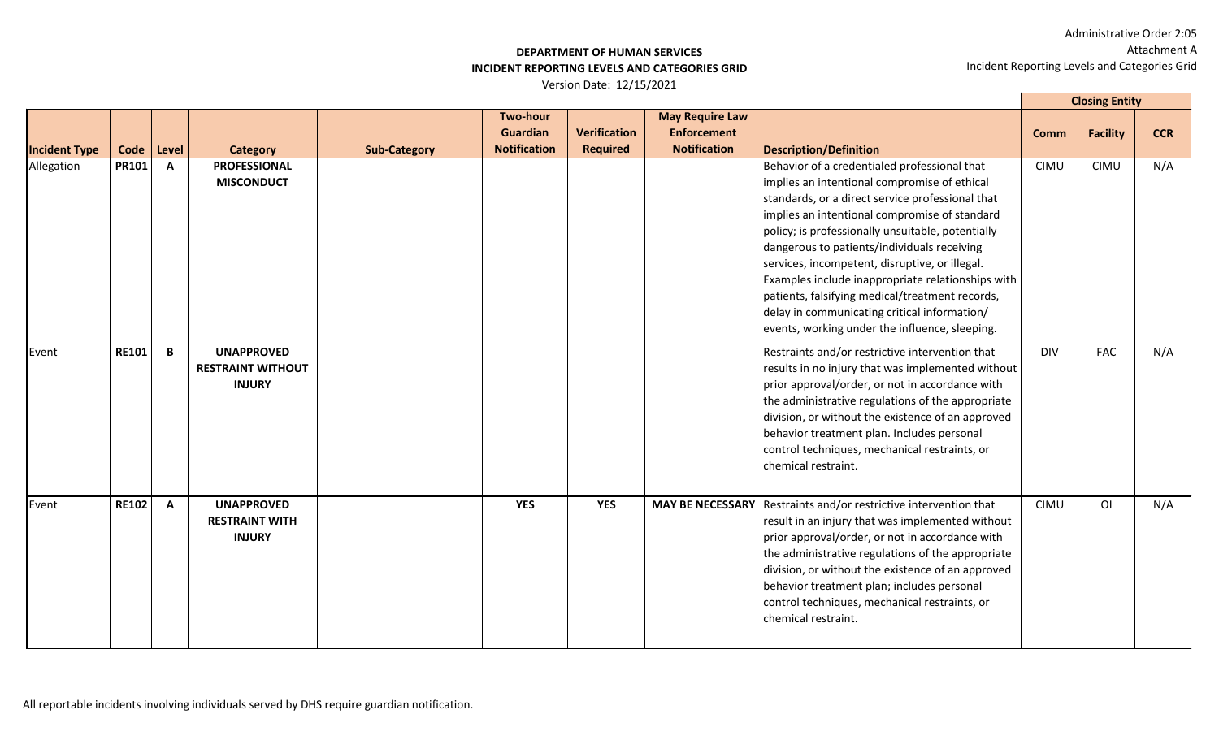## **DEPARTMENT OF HUMAN SERVICES INCIDENT REPORTING LEVELS AND CATEGORIES GRID**

|                      |              |              |                                                                |                     |                                                           |                                        |                                                                     |                                                                                                                                                                                                                                                                                                                                                                                                                                                                                                                                                                   |             | <b>Closing Entity</b> |            |
|----------------------|--------------|--------------|----------------------------------------------------------------|---------------------|-----------------------------------------------------------|----------------------------------------|---------------------------------------------------------------------|-------------------------------------------------------------------------------------------------------------------------------------------------------------------------------------------------------------------------------------------------------------------------------------------------------------------------------------------------------------------------------------------------------------------------------------------------------------------------------------------------------------------------------------------------------------------|-------------|-----------------------|------------|
| <b>Incident Type</b> | Code Level   |              | <b>Category</b>                                                | <b>Sub-Category</b> | <b>Two-hour</b><br><b>Guardian</b><br><b>Notification</b> | <b>Verification</b><br><b>Required</b> | <b>May Require Law</b><br><b>Enforcement</b><br><b>Notification</b> | <b>Description/Definition</b>                                                                                                                                                                                                                                                                                                                                                                                                                                                                                                                                     | <b>Comm</b> | <b>Facility</b>       | <b>CCR</b> |
| Allegation           | <b>PR101</b> | $\mathbf{A}$ | <b>PROFESSIONAL</b><br><b>MISCONDUCT</b>                       |                     |                                                           |                                        |                                                                     | Behavior of a credentialed professional that<br>implies an intentional compromise of ethical<br>standards, or a direct service professional that<br>implies an intentional compromise of standard<br>policy; is professionally unsuitable, potentially<br>dangerous to patients/individuals receiving<br>services, incompetent, disruptive, or illegal.<br>Examples include inappropriate relationships with<br>patients, falsifying medical/treatment records,<br>delay in communicating critical information/<br>events, working under the influence, sleeping. | <b>CIMU</b> | <b>CIMU</b>           | N/A        |
| Event                | <b>RE101</b> | $\mathbf{B}$ | <b>UNAPPROVED</b><br><b>RESTRAINT WITHOUT</b><br><b>INJURY</b> |                     |                                                           |                                        |                                                                     | Restraints and/or restrictive intervention that<br>results in no injury that was implemented without<br>prior approval/order, or not in accordance with<br>the administrative regulations of the appropriate<br>division, or without the existence of an approved<br>behavior treatment plan. Includes personal<br>control techniques, mechanical restraints, or<br>chemical restraint.                                                                                                                                                                           | <b>DIV</b>  | <b>FAC</b>            | N/A        |
| Event                | <b>RE102</b> | $\mathbf{A}$ | <b>UNAPPROVED</b><br><b>RESTRAINT WITH</b><br><b>INJURY</b>    |                     | <b>YES</b>                                                | <b>YES</b>                             | <b>MAY BE NECESSARY</b>                                             | Restraints and/or restrictive intervention that<br>result in an injury that was implemented without<br>prior approval/order, or not in accordance with<br>the administrative regulations of the appropriate<br>division, or without the existence of an approved<br>behavior treatment plan; includes personal<br>control techniques, mechanical restraints, or<br>chemical restraint.                                                                                                                                                                            | <b>CIMU</b> | O <sub>1</sub>        | N/A        |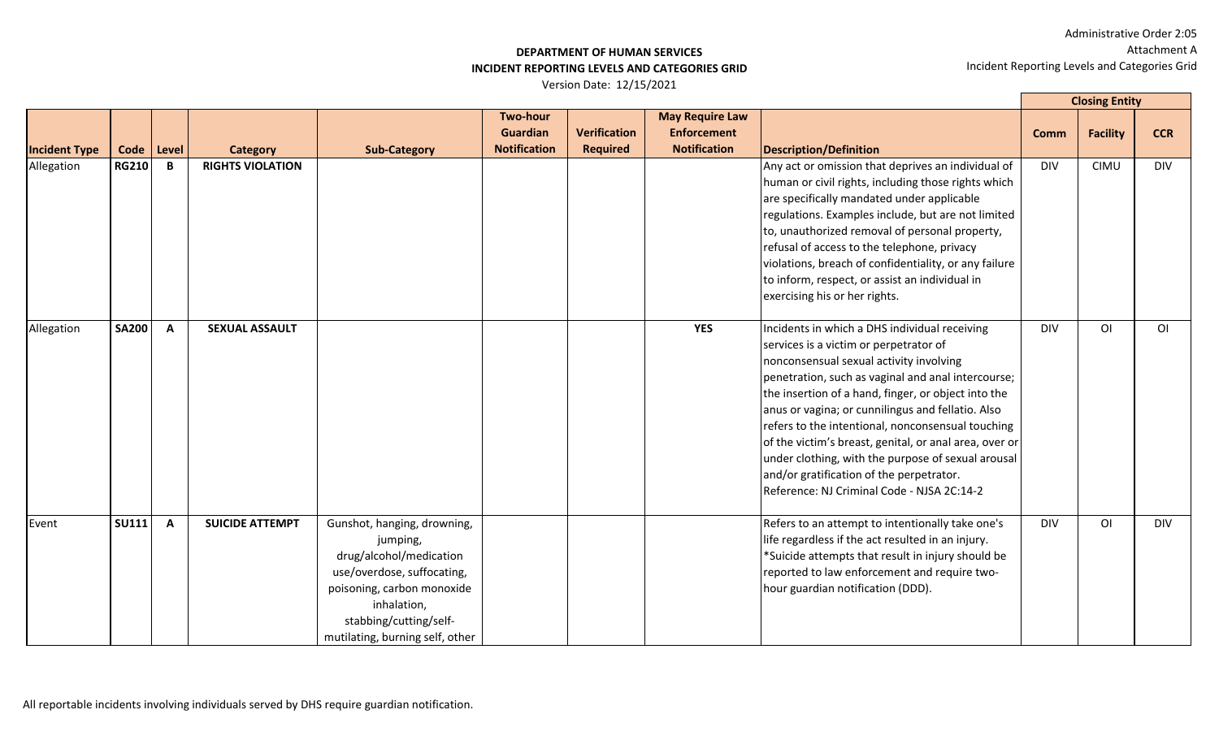## **DEPARTMENT OF HUMAN SERVICES INCIDENT REPORTING LEVELS AND CATEGORIES GRID**

|                      |              |              |                         |                                                                                                                                                                                                            |                                                           |                                        |                                                                     |                                                                                                                                                                                                                                                                                                                                                                                                                                                                                                                                                                     |             | <b>Closing Entity</b> |                |
|----------------------|--------------|--------------|-------------------------|------------------------------------------------------------------------------------------------------------------------------------------------------------------------------------------------------------|-----------------------------------------------------------|----------------------------------------|---------------------------------------------------------------------|---------------------------------------------------------------------------------------------------------------------------------------------------------------------------------------------------------------------------------------------------------------------------------------------------------------------------------------------------------------------------------------------------------------------------------------------------------------------------------------------------------------------------------------------------------------------|-------------|-----------------------|----------------|
| <b>Incident Type</b> | Code         | Level        | <b>Category</b>         | <b>Sub-Category</b>                                                                                                                                                                                        | <b>Two-hour</b><br><b>Guardian</b><br><b>Notification</b> | <b>Verification</b><br><b>Required</b> | <b>May Require Law</b><br><b>Enforcement</b><br><b>Notification</b> | <b>Description/Definition</b>                                                                                                                                                                                                                                                                                                                                                                                                                                                                                                                                       | <b>Comm</b> | <b>Facility</b>       | <b>CCR</b>     |
| Allegation           | <b>RG210</b> | B            | <b>RIGHTS VIOLATION</b> |                                                                                                                                                                                                            |                                                           |                                        |                                                                     | Any act or omission that deprives an individual of<br>human or civil rights, including those rights which<br>are specifically mandated under applicable<br>regulations. Examples include, but are not limited<br>to, unauthorized removal of personal property,<br>refusal of access to the telephone, privacy<br>violations, breach of confidentiality, or any failure<br>to inform, respect, or assist an individual in<br>exercising his or her rights.                                                                                                          | <b>DIV</b>  | <b>CIMU</b>           | <b>DIV</b>     |
| Allegation           | <b>SA200</b> | $\mathbf{A}$ | <b>SEXUAL ASSAULT</b>   |                                                                                                                                                                                                            |                                                           |                                        | <b>YES</b>                                                          | Incidents in which a DHS individual receiving<br>services is a victim or perpetrator of<br>nonconsensual sexual activity involving<br>penetration, such as vaginal and anal intercourse;<br>the insertion of a hand, finger, or object into the<br>anus or vagina; or cunnilingus and fellatio. Also<br>refers to the intentional, nonconsensual touching<br>of the victim's breast, genital, or anal area, over or<br>under clothing, with the purpose of sexual arousal<br>and/or gratification of the perpetrator.<br>Reference: NJ Criminal Code - NJSA 2C:14-2 | <b>DIV</b>  | O <sub>1</sub>        | O <sub>1</sub> |
| Event                | <b>SU111</b> | $\mathbf{A}$ | <b>SUICIDE ATTEMPT</b>  | Gunshot, hanging, drowning,<br>jumping,<br>drug/alcohol/medication<br>use/overdose, suffocating,<br>poisoning, carbon monoxide<br>inhalation,<br>stabbing/cutting/self-<br>mutilating, burning self, other |                                                           |                                        |                                                                     | Refers to an attempt to intentionally take one's<br>life regardless if the act resulted in an injury.<br>*Suicide attempts that result in injury should be<br>reported to law enforcement and require two-<br>hour guardian notification (DDD).                                                                                                                                                                                                                                                                                                                     | <b>DIV</b>  | O <sub>1</sub>        | <b>DIV</b>     |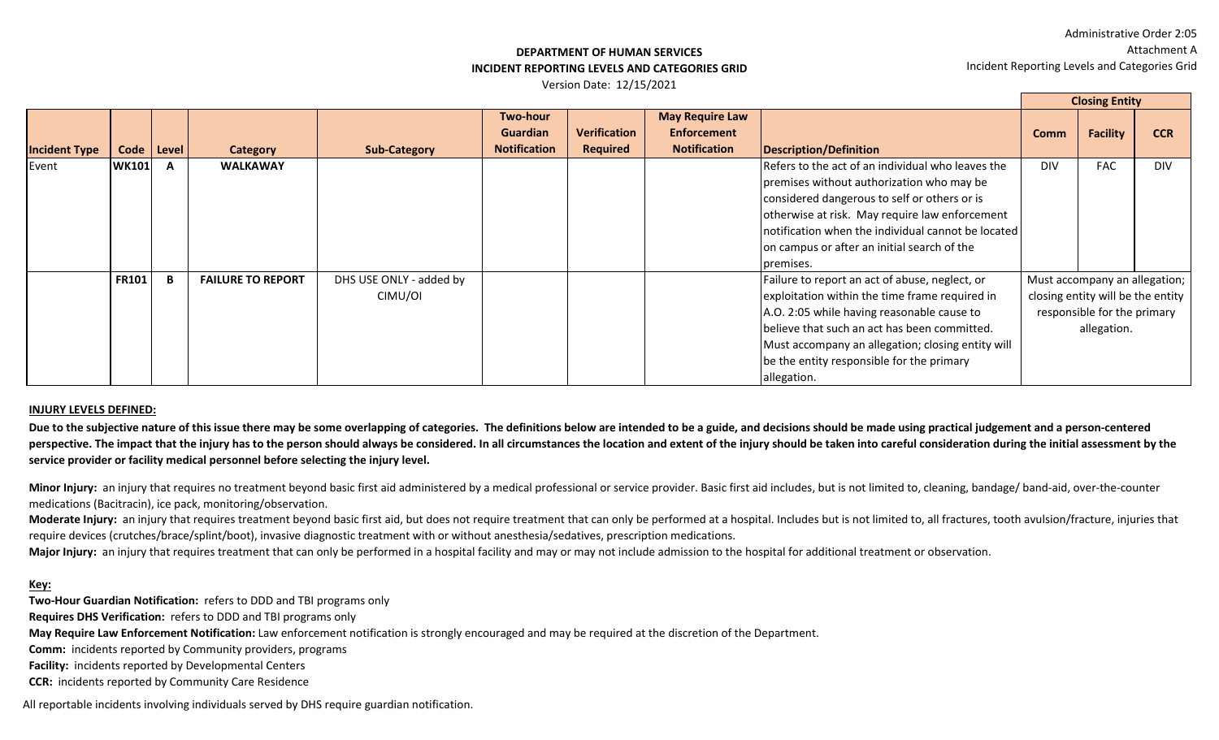**Closing Entity**

#### **DEPARTMENT OF HUMAN SERVICES INCIDENT REPORTING LEVELS AND CATEGORIES GRID**

Version Date: 12/15/2021

|                      |              |       |                          |                         |                     |                     |                        |                                                    |             | Closing Entity                    |            |
|----------------------|--------------|-------|--------------------------|-------------------------|---------------------|---------------------|------------------------|----------------------------------------------------|-------------|-----------------------------------|------------|
|                      |              |       |                          |                         | <b>Two-hour</b>     |                     | <b>May Require Law</b> |                                                    |             |                                   |            |
|                      |              |       |                          |                         | <b>Guardian</b>     | <b>Verification</b> | <b>Enforcement</b>     |                                                    | <b>Comm</b> | <b>Facility</b>                   | <b>CCR</b> |
| <b>Incident Type</b> | Code         | Level | <b>Category</b>          | <b>Sub-Category</b>     | <b>Notification</b> | Required            | <b>Notification</b>    | Description/Definition                             |             |                                   |            |
| Event                | <b>WK101</b> |       | <b>WALKAWAY</b>          |                         |                     |                     |                        | Refers to the act of an individual who leaves the  | <b>DIV</b>  | <b>FAC</b>                        | <b>DIV</b> |
|                      |              |       |                          |                         |                     |                     |                        | premises without authorization who may be          |             |                                   |            |
|                      |              |       |                          |                         |                     |                     |                        | considered dangerous to self or others or is       |             |                                   |            |
|                      |              |       |                          |                         |                     |                     |                        | otherwise at risk. May require law enforcement     |             |                                   |            |
|                      |              |       |                          |                         |                     |                     |                        | notification when the individual cannot be located |             |                                   |            |
|                      |              |       |                          |                         |                     |                     |                        | on campus or after an initial search of the        |             |                                   |            |
|                      |              |       |                          |                         |                     |                     |                        | Ipremises.                                         |             |                                   |            |
|                      | <b>FR101</b> |       | <b>FAILURE TO REPORT</b> | DHS USE ONLY - added by |                     |                     |                        | Failure to report an act of abuse, neglect, or     |             | Must accompany an allegation;     |            |
|                      |              |       |                          | CIMU/OI                 |                     |                     |                        | exploitation within the time frame required in     |             | closing entity will be the entity |            |
|                      |              |       |                          |                         |                     |                     |                        | A.O. 2:05 while having reasonable cause to         |             | responsible for the primary       |            |
|                      |              |       |                          |                         |                     |                     |                        | believe that such an act has been committed.       |             | allegation.                       |            |
|                      |              |       |                          |                         |                     |                     |                        | Must accompany an allegation; closing entity will  |             |                                   |            |
|                      |              |       |                          |                         |                     |                     |                        | be the entity responsible for the primary          |             |                                   |            |
|                      |              |       |                          |                         |                     |                     |                        | allegation.                                        |             |                                   |            |

#### **INJURY LEVELS DEFINED:**

Due to the subjective nature of this issue there may be some overlapping of categories. The definitions below are intended to be a guide, and decisions should be made using practical judgement and a person-centered perspective. The impact that the injury has to the person should always be considered. In all circumstances the location and extent of the injury should be taken into careful consideration during the initial assessment by **service provider or facility medical personnel before selecting the injury level.** 

Minor Injury: an injury that requires no treatment beyond basic first aid administered by a medical professional or service provider. Basic first aid includes, but is not limited to, cleaning, bandage/ band-aid, over-the-c medications (Bacitracin), ice pack, monitoring/observation.

Moderate Injury: an injury that requires treatment beyond basic first aid, but does not require treatment that can only be performed at a hospital. Includes but is not limited to, all fractures, tooth avulsion/fracture, in require devices (crutches/brace/splint/boot), invasive diagnostic treatment with or without anesthesia/sedatives, prescription medications.

Major Injury: an injury that requires treatment that can only be performed in a hospital facility and may or may not include admission to the hospital for additional treatment or observation.

#### **Key:**

**Two-Hour Guardian Notification:** refers to DDD and TBI programs only

**Requires DHS Verification:** refers to DDD and TBI programs only

**May Require Law Enforcement Notification:** Law enforcement notification is strongly encouraged and may be required at the discretion of the Department.

**Comm:** incidents reported by Community providers, programs

**Facility:** incidents reported by Developmental Centers

**CCR:** incidents reported by Community Care Residence